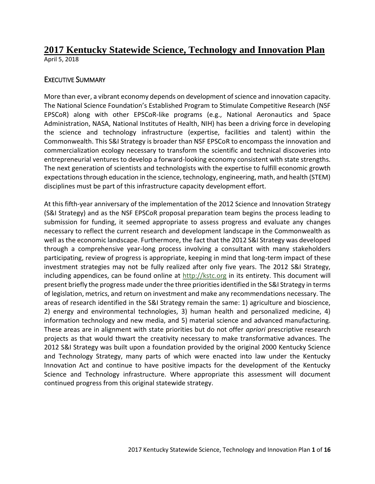## **2017 Kentucky Statewide Science, Technology and Innovation Plan** April 5, 2018

## EXECUTIVE SUMMARY

More than ever, a vibrant economy depends on development of science and innovation capacity. The National Science Foundation's Established Program to Stimulate Competitive Research (NSF EPSCoR) along with other EPSCoR-like programs (e.g., National Aeronautics and Space Administration, NASA, National Institutes of Health, NIH) has been a driving force in developing the science and technology infrastructure (expertise, facilities and talent) within the Commonwealth. This S&I Strategy is broader than NSF EPSCoR to encompass the innovation and commercialization ecology necessary to transform the scientific and technical discoveries into entrepreneurial ventures to develop a forward-looking economy consistent with state strengths. The next generation of scientists and technologists with the expertise to fulfill economic growth expectations through education in the science, technology, engineering, math, and health (STEM) disciplines must be part of this infrastructure capacity development effort.

At this fifth-year anniversary of the implementation of the 2012 Science and Innovation Strategy (S&I Strategy) and as the NSF EPSCoR proposal preparation team begins the process leading to submission for funding, it seemed appropriate to assess progress and evaluate any changes necessary to reflect the current research and development landscape in the Commonwealth as well as the economic landscape. Furthermore, the fact that the 2012 S&I Strategy was developed through a comprehensive year-long process involving a consultant with many stakeholders participating, review of progress is appropriate, keeping in mind that long-term impact of these investment strategies may not be fully realized after only five years. The 2012 S&I Strategy, including appendices, can be found online at [http://kstc.org](http://kstc.org/) in its entirety. This document will present briefly the progress made under the three priorities identified in the S&I Strategy in terms of legislation, metrics, and return on investment and make any recommendations necessary. The areas of research identified in the S&I Strategy remain the same: 1) agriculture and bioscience, 2) energy and environmental technologies, 3) human health and personalized medicine, 4) information technology and new media, and 5) material science and advanced manufacturing. These areas are in alignment with state priorities but do not offer *apriori* prescriptive research projects as that would thwart the creativity necessary to make transformative advances. The 2012 S&I Strategy was built upon a foundation provided by the original 2000 Kentucky Science and Technology Strategy, many parts of which were enacted into law under the Kentucky Innovation Act and continue to have positive impacts for the development of the Kentucky Science and Technology infrastructure. Where appropriate this assessment will document continued progress from this original statewide strategy.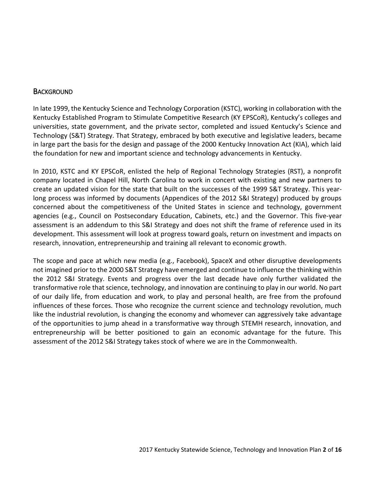#### **BACKGROUND**

In late 1999, the Kentucky Science and Technology Corporation (KSTC), working in collaboration with the Kentucky Established Program to Stimulate Competitive Research (KY EPSCoR), Kentucky's colleges and universities, state government, and the private sector, completed and issued Kentucky's Science and Technology (S&T) Strategy. That Strategy, embraced by both executive and legislative leaders, became in large part the basis for the design and passage of the 2000 Kentucky Innovation Act (KIA), which laid the foundation for new and important science and technology advancements in Kentucky.

In 2010, KSTC and KY EPSCoR, enlisted the help of Regional Technology Strategies (RST), a nonprofit company located in Chapel Hill, North Carolina to work in concert with existing and new partners to create an updated vision for the state that built on the successes of the 1999 S&T Strategy. This yearlong process was informed by documents (Appendices of the 2012 S&I Strategy) produced by groups concerned about the competitiveness of the United States in science and technology, government agencies (e.g., Council on Postsecondary Education, Cabinets, etc.) and the Governor. This five-year assessment is an addendum to this S&I Strategy and does not shift the frame of reference used in its development. This assessment will look at progress toward goals, return on investment and impacts on research, innovation, entrepreneurship and training all relevant to economic growth.

The scope and pace at which new media (e.g., Facebook), SpaceX and other disruptive developments not imagined prior to the 2000 S&T Strategy have emerged and continue to influence the thinking within the 2012 S&I Strategy. Events and progress over the last decade have only further validated the transformative role that science, technology, and innovation are continuing to play in our world. No part of our daily life, from education and work, to play and personal health, are free from the profound influences of these forces. Those who recognize the current science and technology revolution, much like the industrial revolution, is changing the economy and whomever can aggressively take advantage of the opportunities to jump ahead in a transformative way through STEMH research, innovation, and entrepreneurship will be better positioned to gain an economic advantage for the future. This assessment of the 2012 S&I Strategy takes stock of where we are in the Commonwealth.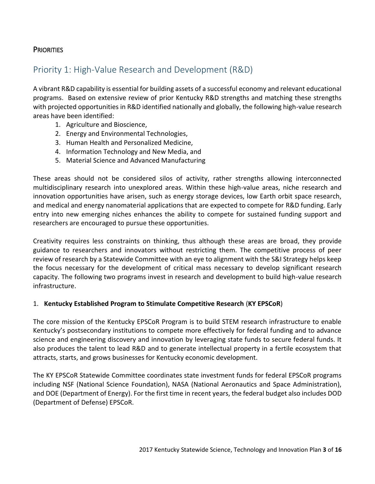## **PRIORITIES**

## Priority 1: High-Value Research and Development (R&D)

A vibrant R&D capability is essential for building assets of a successful economy and relevant educational programs. Based on extensive review of prior Kentucky R&D strengths and matching these strengths with projected opportunities in R&D identified nationally and globally, the following high-value research areas have been identified:

- 1. Agriculture and Bioscience,
- 2. Energy and Environmental Technologies,
- 3. Human Health and Personalized Medicine,
- 4. Information Technology and New Media, and
- 5. Material Science and Advanced Manufacturing

These areas should not be considered silos of activity, rather strengths allowing interconnected multidisciplinary research into unexplored areas. Within these high-value areas, niche research and innovation opportunities have arisen, such as energy storage devices, low Earth orbit space research, and medical and energy nanomaterial applications that are expected to compete for R&D funding. Early entry into new emerging niches enhances the ability to compete for sustained funding support and researchers are encouraged to pursue these opportunities.

Creativity requires less constraints on thinking, thus although these areas are broad, they provide guidance to researchers and innovators without restricting them. The competitive process of peer review of research by a Statewide Committee with an eye to alignment with the S&I Strategy helps keep the focus necessary for the development of critical mass necessary to develop significant research capacity. The following two programs invest in research and development to build high-value research infrastructure.

#### 1. **Kentucky Established Program to Stimulate Competitive Research** (**KY EPSCoR**)

The core mission of the Kentucky EPSCoR Program is to build STEM research infrastructure to enable Kentucky's postsecondary institutions to compete more effectively for federal funding and to advance science and engineering discovery and innovation by leveraging state funds to secure federal funds. It also produces the talent to lead R&D and to generate intellectual property in a fertile ecosystem that attracts, starts, and grows businesses for Kentucky economic development.

The KY EPSCoR Statewide Committee coordinates state investment funds for federal EPSCoR programs including NSF (National Science Foundation), NASA (National Aeronautics and Space Administration), and DOE (Department of Energy). For the first time in recent years, the federal budget also includes DOD (Department of Defense) EPSCoR.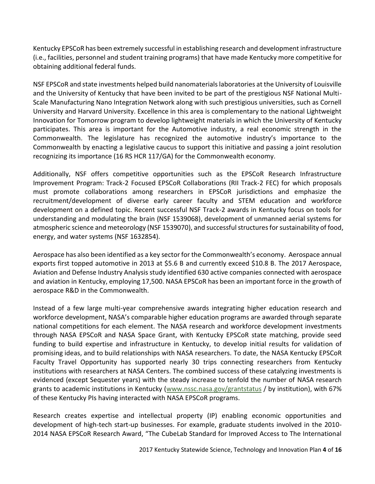Kentucky EPSCoR has been extremely successful in establishing research and development infrastructure (i.e., facilities, personnel and student training programs) that have made Kentucky more competitive for obtaining additional federal funds.

NSF EPSCoR and state investments helped build nanomaterials laboratories at the University of Louisville and the University of Kentucky that have been invited to be part of the prestigious NSF National Multi-Scale Manufacturing Nano Integration Network along with such prestigious universities, such as Cornell University and Harvard University. Excellence in this area is complementary to the national Lightweight Innovation for Tomorrow program to develop lightweight materials in which the University of Kentucky participates. This area is important for the Automotive industry, a real economic strength in the Commonwealth. The legislature has recognized the automotive industry's importance to the Commonwealth by enacting a legislative caucus to support this initiative and passing a joint resolution recognizing its importance (16 RS HCR 117/GA) for the Commonwealth economy.

Additionally, NSF offers competitive opportunities such as the EPSCoR Research Infrastructure Improvement Program: Track-2 Focused EPSCoR Collaborations (RII Track-2 FEC) for which proposals must promote collaborations among researchers in EPSCoR jurisdictions and emphasize the recruitment/development of diverse early career faculty and STEM education and workforce development on a defined topic. Recent successful NSF Track-2 awards in Kentucky focus on tools for understanding and modulating the brain (NSF 1539068), development of unmanned aerial systems for atmospheric science and meteorology (NSF 1539070), and successful structures for sustainability of food, energy, and water systems (NSF 1632854).

Aerospace has also been identified as a key sector for the Commonwealth's economy. Aerospace annual exports first topped automotive in 2013 at \$5.6 B and currently exceed \$10.8 B. The 2017 Aerospace, Aviation and Defense Industry Analysis study identified 630 active companies connected with aerospace and aviation in Kentucky, employing 17,500. NASA EPSCoR has been an important force in the growth of aerospace R&D in the Commonwealth.

Instead of a few large multi-year comprehensive awards integrating higher education research and workforce development, NASA's comparable higher education programs are awarded through separate national competitions for each element. The NASA research and workforce development investments through NASA EPSCoR and NASA Space Grant, with Kentucky EPSCoR state matching, provide seed funding to build expertise and infrastructure in Kentucky, to develop initial results for validation of promising ideas, and to build relationships with NASA researchers. To date, the NASA Kentucky EPSCoR Faculty Travel Opportunity has supported nearly 30 trips connecting researchers from Kentucky institutions with researchers at NASA Centers. The combined success of these catalyzing investments is evidenced (except Sequester years) with the steady increase to tenfold the number of NASA research grants to academic institutions in Kentucky [\(www.nssc.nasa.gov/grantstatus](https://www.nssc.nasa.gov/grantstatus) / by institution), with 67% of these Kentucky PIs having interacted with NASA EPSCoR programs.

Research creates expertise and intellectual property (IP) enabling economic opportunities and development of high-tech start-up businesses. For example, graduate students involved in the 2010- 2014 NASA EPSCoR Research Award, "The CubeLab Standard for Improved Access to The International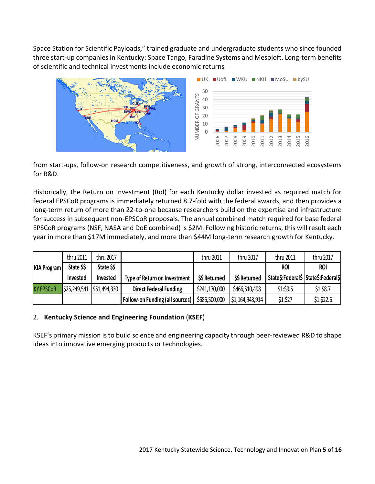Space Station for Scientific Payloads," trained graduate and undergraduate students who since founded three start-up companies in Kentucky: Space Tango, Faradine Systems and Mesoloft. Long-term benefits of scientific and technical investments include economic returns



from start-ups, follow-on research competitiveness, and growth of strong, interconnected ecosystems for R&D.

Historically, the Return on Investment (RoI) for each Kentucky dollar invested as required match for federal EPSCoR programs is immediately returned 8.7-fold with the federal awards, and then provides a long-term return of more than 22-to-one because researchers build on the expertise and infrastructure for success in subsequent non-EPSCoR proposals. The annual combined match required for base federal EPSCoR programs (NSF, NASA and DoE combined) is \$2M. Following historic returns, this will result each year in more than \$17M immediately, and more than \$44M long-term research growth for Kentucky.

|                    | thru 2011       | thru 2017                   |                                        | thru 2011     | thru 2017                   | thru 2011                           | thru 2017  |
|--------------------|-----------------|-----------------------------|----------------------------------------|---------------|-----------------------------|-------------------------------------|------------|
| <b>KIA Program</b> | State \$\$      | State \$\$                  |                                        |               |                             | <b>ROI</b>                          | <b>ROI</b> |
|                    | <b>Invested</b> | Invested                    | Type of Return on Investment           | \$\$ Returned | \$\$ Returned               | State\$:Federal\$ State\$:Federal\$ |            |
| <b>KY EPSCOR</b>   |                 | \$25,249,541   \$51,494,330 | <b>Direct Federal Funding</b>          | \$241,170,000 | \$466,510,498               | \$1:59.5                            | \$1:\$8.7  |
|                    |                 |                             | <b>Follow-on Funding (all sources)</b> | \$686,500,000 | $\frac{1}{2}$ 1,164,943,914 | \$1:\$27                            | \$1:\$22.6 |

#### 2. **Kentucky Science and Engineering Foundation** (**KSEF**)

KSEF's primary mission is to build science and engineering capacity through peer-reviewed R&D to shape ideas into innovative emerging products or technologies.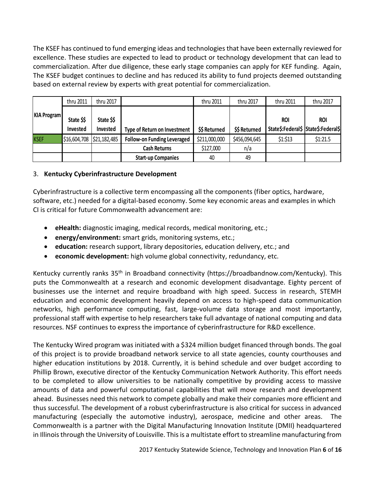The KSEF has continued to fund emerging ideas and technologies that have been externally reviewed for excellence. These studies are expected to lead to product or technology development that can lead to commercialization. After due diligence, these early stage companies can apply for KEF funding. Again, The KSEF budget continues to decline and has reduced its ability to fund projects deemed outstanding based on external review by experts with great potential for commercialization.

|                    | thru 2011       | thru 2017                   |                                    | thru 2011     | thru 2017     | thru 2011                           | thru 2017  |
|--------------------|-----------------|-----------------------------|------------------------------------|---------------|---------------|-------------------------------------|------------|
| <b>KIA Program</b> |                 |                             |                                    |               |               |                                     |            |
|                    | State \$\$      | State \$\$                  |                                    |               |               | <b>ROI</b>                          | <b>ROI</b> |
|                    | <b>Invested</b> | Invested                    | Type of Return on Investment       | \$\$ Returned | \$\$ Returned | State\$:Federal\$ State\$:Federal\$ |            |
| <b>KSEF</b>        |                 | \$16,604,708   \$21,182,485 | <b>Follow-on Funding Leveraged</b> | \$211,000,000 | \$456,094,645 | \$1:513                             | \$1:21.5   |
|                    |                 |                             | <b>Cash Returns</b>                | \$127,000     | n/a           |                                     |            |
|                    |                 |                             | <b>Start-up Companies</b>          | 40            | 49            |                                     |            |

#### 3. **Kentucky Cyberinfrastructure Development**

Cyberinfrastructure is a collective term encompassing all the components (fiber optics, hardware, software, etc.) needed for a digital-based economy. Some key economic areas and examples in which CI is critical for future Commonwealth advancement are:

- **eHealth:** diagnostic imaging, medical records, medical monitoring, etc.;
- **energy/environment:** smart grids, monitoring systems, etc.;
- **education:** research support, library depositories, education delivery, etc.; and
- **economic development:** high volume global connectivity, redundancy, etc.

Kentucky currently ranks 35<sup>th</sup> in Broadband connectivity (https://broadbandnow.com/Kentucky). This puts the Commonwealth at a research and economic development disadvantage. Eighty percent of businesses use the internet and require broadband with high speed. Success in research, STEMH education and economic development heavily depend on access to high-speed data communication networks, high performance computing, fast, large-volume data storage and most importantly, professional staff with expertise to help researchers take full advantage of national computing and data resources. NSF continues to express the importance of cyberinfrastructure for R&D excellence.

The Kentucky Wired program was initiated with a \$324 million budget financed through bonds. The goal of this project is to provide broadband network service to all state agencies, county courthouses and higher education institutions by 2018. Currently, it is behind schedule and over budget according to Phillip Brown, executive director of the Kentucky Communication Network Authority. This effort needs to be completed to allow universities to be nationally competitive by providing access to massive amounts of data and powerful computational capabilities that will move research and development ahead. Businesses need this network to compete globally and make their companies more efficient and thus successful. The development of a robust cyberinfrastructure is also critical for success in advanced manufacturing (especially the automotive industry), aerospace, medicine and other areas. The Commonwealth is a partner with the Digital Manufacturing Innovation Institute (DMII) headquartered in Illinois through the University of Louisville. This is a multistate effort to streamline manufacturing from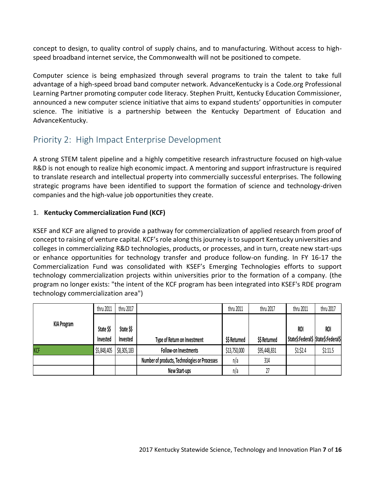concept to design, to quality control of supply chains, and to manufacturing. Without access to highspeed broadband internet service, the Commonwealth will not be positioned to compete.

Computer science is being emphasized through several programs to train the talent to take full advantage of a high-speed broad band computer network. AdvanceKentucky is a Code.org Professional Learning Partner promoting computer code literacy. Stephen Pruitt, Kentucky Education Commissioner, announced a new computer science initiative that aims to expand students' opportunities in computer science. The initiative is a partnership between the Kentucky Department of Education and AdvanceKentucky.

## Priority 2: High Impact Enterprise Development

A strong STEM talent pipeline and a highly competitive research infrastructure focused on high-value R&D is not enough to realize high economic impact. A mentoring and support infrastructure is required to translate research and intellectual property into commercially successful enterprises. The following strategic programs have been identified to support the formation of science and technology-driven companies and the high-value job opportunities they create.

## 1. **Kentucky Commercialization Fund (KCF)**

KSEF and KCF are aligned to provide a pathway for commercialization of applied research from proof of concept to raising of venture capital. KCF's role along this journey is to support Kentucky universities and colleges in commercializing R&D technologies, products, or processes, and in turn, create new start-ups or enhance opportunities for technology transfer and produce follow-on funding. In FY 16-17 the Commercialization Fund was consolidated with KSEF's Emerging Technologies efforts to support technology commercialization projects within universities prior to the formation of a company. (the program no longer exists: "the intent of the KCF program has been integrated into KSEF's RDE program technology commercialization area")

|                    | thru 2011   | thru 2017   |                                               | thru 2011     | thru 2017     | thru 2011                           | thru 2017  |
|--------------------|-------------|-------------|-----------------------------------------------|---------------|---------------|-------------------------------------|------------|
| <b>KIA Program</b> |             |             |                                               |               |               |                                     |            |
|                    | State \$\$  | State \$\$  |                                               |               |               | <b>ROI</b>                          | <b>ROI</b> |
|                    | Invested    | Invested    | Type of Return on Investment                  | \$\$ Returned | \$\$ Returned | State\$:Federal\$ State\$:Federal\$ |            |
| <b>KCF</b>         | \$5,848,405 | \$8,305,183 | <b>Follow-on Investments</b>                  | \$13,750,000  | \$95,448,831  | \$1:52.4                            | \$1:11.5   |
|                    |             |             | Number of products, Technologies or Processes | n/a           | 314           |                                     |            |
|                    |             |             | New Start-ups                                 | n/a           | 27            |                                     |            |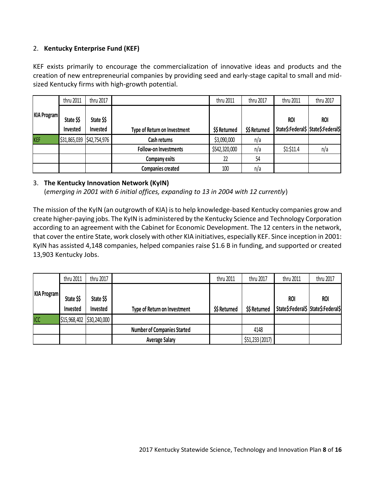#### 2. **Kentucky Enterprise Fund (KEF)**

KEF exists primarily to encourage the commercialization of innovative ideas and products and the creation of new entrepreneurial companies by providing seed and early-stage capital to small and midsized Kentucky firms with high-growth potential.

|                    | thru 2011<br>thru 2017 |                           |                              | thru 2011     | thru 2017     | thru 2011                                         | thru 2017  |
|--------------------|------------------------|---------------------------|------------------------------|---------------|---------------|---------------------------------------------------|------------|
| <b>KIA Program</b> | State \$\$<br>Invested | State \$\$<br>Invested    | Type of Return on Investment | \$\$ Returned | \$\$ Returned | <b>ROI</b><br>State\$:Federal\$ State\$:Federal\$ | <b>ROI</b> |
| <b>KEF</b>         |                        | \$31,865,039 \$42,754,976 | Cash returns                 | \$3,090,000   | n/a           |                                                   |            |
|                    |                        |                           | <b>Follow-on Investments</b> | \$542,320,000 | n/a           | \$1:\$11.4                                        | n/a        |
|                    |                        |                           | Company exits                | 22            | 54            |                                                   |            |
|                    |                        |                           | <b>Companies created</b>     | 100           | n/a           |                                                   |            |

#### 3. **The Kentucky Innovation Network (KyIN)**

(*emerging in 2001 with 6 initial offices, expanding to 13 in 2004 with 12 currently*)

The mission of the KyIN (an outgrowth of KIA) is to help knowledge-based Kentucky companies grow and create higher-paying jobs. The KyIN is administered by the Kentucky Science and Technology Corporation according to an agreement with the Cabinet for Economic Development. The 12 centers in the network, that cover the entire State, work closely with other KIA initiatives, especially KEF. Since inception in 2001: KyIN has assisted 4,148 companies, helped companies raise \$1.6 B in funding, and supported or created 13,903 Kentucky Jobs.

|                    | thru 2011  | thru 2017                 |                                    | thru 2011     | thru 2017       | thru 2011                           | thru 2017  |
|--------------------|------------|---------------------------|------------------------------------|---------------|-----------------|-------------------------------------|------------|
| <b>KIA Program</b> |            |                           |                                    |               |                 |                                     |            |
|                    | State \$\$ | State \$\$                |                                    |               |                 | <b>ROI</b>                          | <b>ROI</b> |
|                    | Invested   | Invested                  | Type of Return on Investment       | \$\$ Returned | \$\$ Returned   | State\$:Federal\$ State\$:Federal\$ |            |
| ICC                |            | \$15,968,402 \$30,240,000 |                                    |               |                 |                                     |            |
|                    |            |                           | <b>Number of Companies Started</b> |               | 4148            |                                     |            |
|                    |            |                           | <b>Average Salary</b>              |               | \$51,233 (2017) |                                     |            |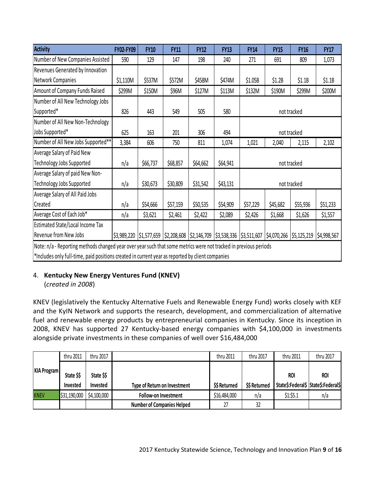| <b>Activity</b>                    | FY02-FY09                                                                                                                                                                                                                                                                                                                                                              | <b>FY10</b> | <b>FY11</b> | <b>FY12</b> | <b>FY13</b> | <b>FY14</b> | <b>FY15</b> | <b>FY16</b> | <b>FY17</b> |  |
|------------------------------------|------------------------------------------------------------------------------------------------------------------------------------------------------------------------------------------------------------------------------------------------------------------------------------------------------------------------------------------------------------------------|-------------|-------------|-------------|-------------|-------------|-------------|-------------|-------------|--|
| Number of New Companies Assisted   | 590                                                                                                                                                                                                                                                                                                                                                                    | 129         | 147         | 198         | 240         | 271         | 691         | 809         | 1,073       |  |
| Revenues Generated by Innovation   |                                                                                                                                                                                                                                                                                                                                                                        |             |             |             |             |             |             |             |             |  |
| Network Companies                  | \$1,110M                                                                                                                                                                                                                                                                                                                                                               | \$537M      | \$572M      | \$458M      | \$474M      | \$1.05B     | \$1.2B      | \$1.1B      | \$1.1B      |  |
| Amount of Company Funds Raised     | \$299M                                                                                                                                                                                                                                                                                                                                                                 | \$150M      | \$96M       | \$127M      | \$113M      | \$132M      | \$190M      | \$299M      | \$200M      |  |
| Number of All New Technology Jobs  |                                                                                                                                                                                                                                                                                                                                                                        |             |             |             |             |             |             |             |             |  |
| Supported*                         | 826                                                                                                                                                                                                                                                                                                                                                                    | 443         | 549         | 505         | 580         |             |             | not tracked |             |  |
| Number of All New Non-Technology   |                                                                                                                                                                                                                                                                                                                                                                        |             |             |             |             |             |             |             |             |  |
| Jobs Supported*                    | 625                                                                                                                                                                                                                                                                                                                                                                    | 163         | 201         | 306         | 494         |             | not tracked |             |             |  |
| Number of All New Jobs Supported** | 3,384                                                                                                                                                                                                                                                                                                                                                                  | 606         | 750         | 811         | 1,074       | 1,021       | 2,040       | 2,115       | 2,102       |  |
| Average Salary of Paid New         |                                                                                                                                                                                                                                                                                                                                                                        |             |             |             |             |             |             |             |             |  |
| Technology Jobs Supported          | n/a                                                                                                                                                                                                                                                                                                                                                                    | \$66,737    | \$68,857    | \$64,662    | \$64,941    |             |             | not tracked |             |  |
| Average Salary of paid New Non-    |                                                                                                                                                                                                                                                                                                                                                                        |             |             |             |             |             |             |             |             |  |
| Technology Jobs Supported          | n/a                                                                                                                                                                                                                                                                                                                                                                    | \$30,673    | \$30,809    | \$31,542    | \$43,131    |             |             | not tracked |             |  |
| Average Salary of All Paid Jobs    |                                                                                                                                                                                                                                                                                                                                                                        |             |             |             |             |             |             |             |             |  |
| Created                            | n/a                                                                                                                                                                                                                                                                                                                                                                    | \$54,666    | \$57,159    | \$50,535    | \$54,909    | \$57,229    | \$45,682    | \$55,936    | \$51,233    |  |
| Average Cost of Each Job*          | n/a                                                                                                                                                                                                                                                                                                                                                                    | \$3,621     | \$2,461     | \$2,422     | \$2,089     | \$2,426     | \$1,668     | \$1,626     | \$1,557     |  |
| Estimated State/Local Income Tax   |                                                                                                                                                                                                                                                                                                                                                                        |             |             |             |             |             |             |             |             |  |
| Revenue from New Jobs              | \$3,989,220                                                                                                                                                                                                                                                                                                                                                            |             |             |             |             |             |             | \$5,125,219 | \$4,998,567 |  |
|                                    | $\frac{1}{2}$ \$1,577,659 $\frac{1}{2}$ ,208,608 $\frac{1}{2}$ ,146,709 $\frac{1}{2}$ ,538,336 $\frac{1}{2}$ ,511,607 $\frac{1}{2}$ ,4,070,266<br>Note: n/a - Reporting methods changed year over year such that some metrics were not tracked in previous periods<br>*Includes only full-time, paid positions created in current year as reported by client companies |             |             |             |             |             |             |             |             |  |

## 4. **Kentucky New Energy Ventures Fund (KNEV)**

(*created in 2008*)

KNEV (legislatively the Kentucky Alternative Fuels and Renewable Energy Fund) works closely with KEF and the KyIN Network and supports the research, development, and commercialization of alternative fuel and renewable energy products by entrepreneurial companies in Kentucky. Since its inception in 2008, KNEV has supported 27 Kentucky-based energy companies with \$4,100,000 in investments alongside private investments in these companies of well over \$16,484,000

|                    | thru 2011    | thru 2017   |                                   | thru 2011     | thru 2017     | thru 2011                           | thru 2017  |
|--------------------|--------------|-------------|-----------------------------------|---------------|---------------|-------------------------------------|------------|
| <b>KIA Program</b> |              |             |                                   |               |               |                                     |            |
|                    | State \$\$   | State \$\$  |                                   |               |               | <b>ROI</b>                          | <b>ROI</b> |
|                    | Invested     | Invested    | Type of Return on Investment      | \$\$ Returned | \$\$ Returned | State\$:Federal\$ State\$:Federal\$ |            |
| <b>KNEV</b>        | \$31,190,000 | \$4,100,000 | Follow-on Investment              | \$16,484,000  | n/a           | \$1:55.1                            | n/a        |
|                    |              |             | <b>Number of Companies Helped</b> | $\mathcal{L}$ | 32            |                                     |            |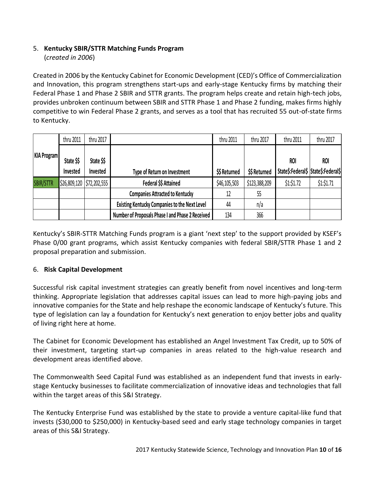## 5. **Kentucky SBIR/STTR Matching Funds Program**

(*created in 2006*)

Created in 2006 by the Kentucky Cabinet for Economic Development (CED)'s Office of Commercialization and Innovation, this program strengthens start-ups and early-stage Kentucky firms by matching their Federal Phase 1 and Phase 2 SBIR and STTR grants. The program helps create and retain high-tech jobs, provides unbroken continuum between SBIR and STTR Phase 1 and Phase 2 funding, makes firms highly competitive to win Federal Phase 2 grants, and serves as a tool that has recruited 55 out-of-state firms to Kentucky.

| thru 2011          |                        | thru 2017                 |                                                      | thru 2011     | thru 2017     | thru 2011                                         | thru 2017  |
|--------------------|------------------------|---------------------------|------------------------------------------------------|---------------|---------------|---------------------------------------------------|------------|
| <b>KIA Program</b> | State \$\$<br>Invested | State \$\$<br>Invested    | Type of Return on Investment                         | \$\$ Returned | \$\$ Returned | <b>ROI</b><br>State\$:Federal\$ State\$:Federal\$ | <b>ROI</b> |
| <b>SBIR/STTR</b>   |                        | \$26,809,120 \$72,202,555 | Federal \$\$ Attained                                | \$46,105,503  | \$123,388,209 | \$1:\$1.72                                        | \$1:\$1.71 |
|                    |                        |                           | <b>Companies Attracted to Kentucky</b>               | 12            | 55            |                                                   |            |
|                    |                        |                           | <b>Existing Kentucky Companies to the Next Level</b> | 44            | n/a           |                                                   |            |
|                    |                        |                           | Number of Proposals Phase I and Phase 2 Received     | 134           | 366           |                                                   |            |

Kentucky's SBIR-STTR Matching Funds program is a giant 'next step' to the support provided by KSEF's Phase 0/00 grant programs, which assist Kentucky companies with federal SBIR/STTR Phase 1 and 2 proposal preparation and submission.

## 6. **Risk Capital Development**

Successful risk capital investment strategies can greatly benefit from novel incentives and long-term thinking. Appropriate legislation that addresses capital issues can lead to more high-paying jobs and innovative companies for the State and help reshape the economic landscape of Kentucky's future. This type of legislation can lay a foundation for Kentucky's next generation to enjoy better jobs and quality of living right here at home.

The Cabinet for Economic Development has established an Angel Investment Tax Credit, up to 50% of their investment, targeting start-up companies in areas related to the high-value research and development areas identified above.

The Commonwealth Seed Capital Fund was established as an independent fund that invests in earlystage Kentucky businesses to facilitate commercialization of innovative ideas and technologies that fall within the target areas of this S&I Strategy.

The Kentucky Enterprise Fund was established by the state to provide a venture capital-like fund that invests (\$30,000 to \$250,000) in Kentucky-based seed and early stage technology companies in target areas of this S&I Strategy.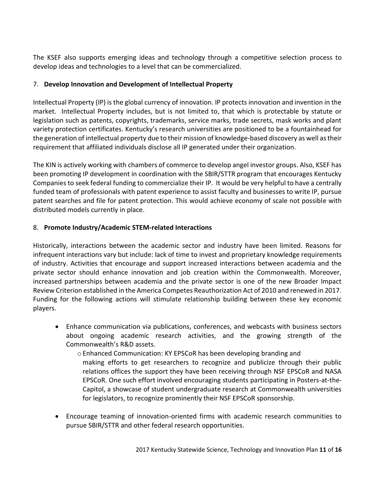The KSEF also supports emerging ideas and technology through a competitive selection process to develop ideas and technologies to a level that can be commercialized.

#### 7. **Develop Innovation and Development of Intellectual Property**

Intellectual Property (IP) is the global currency of innovation. IP protects innovation and invention in the market. Intellectual Property includes, but is not limited to, that which is protectable by statute or legislation such as patents, copyrights, trademarks, service marks, trade secrets, mask works and plant variety protection certificates. Kentucky's research universities are positioned to be a fountainhead for the generation of intellectual property due to their mission of knowledge-based discovery as well as their requirement that affiliated individuals disclose all IP generated under their organization.

The KIN is actively working with chambers of commerce to develop angel investor groups. Also, KSEF has been promoting IP development in coordination with the SBIR/STTR program that encourages Kentucky Companies to seek federal funding to commercialize their IP. It would be very helpful to have a centrally funded team of professionals with patent experience to assist faculty and businesses to write IP, pursue patent searches and file for patent protection. This would achieve economy of scale not possible with distributed models currently in place.

#### 8. **Promote Industry/Academic STEM-related Interactions**

Historically, interactions between the academic sector and industry have been limited. Reasons for infrequent interactions vary but include: lack of time to invest and proprietary knowledge requirements of industry. Activities that encourage and support increased interactions between academia and the private sector should enhance innovation and job creation within the Commonwealth. Moreover, increased partnerships between academia and the private sector is one of the new Broader Impact Review Criterion established in the America Competes Reauthorization Act of 2010 and renewed in 2017. Funding for the following actions will stimulate relationship building between these key economic players.

• Enhance communication via publications, conferences, and webcasts with business sectors about ongoing academic research activities, and the growing strength of the Commonwealth's R&D assets.

o Enhanced Communication: KY EPSCoR has been developing branding and making efforts to get researchers to recognize and publicize through their public relations offices the support they have been receiving through NSF EPSCoR and NASA EPSCoR. One such effort involved encouraging students participating in Posters-at-the-Capitol, a showcase of student undergraduate research at Commonwealth universities for legislators, to recognize prominently their NSF EPSCoR sponsorship.

• Encourage teaming of innovation-oriented firms with academic research communities to pursue SBIR/STTR and other federal research opportunities.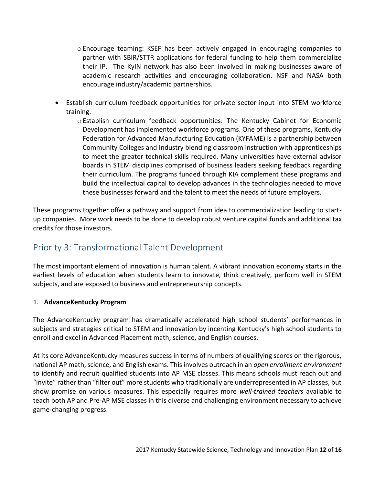- o Encourage teaming: KSEF has been actively engaged in encouraging companies to partner with SBIR/STTR applications for federal funding to help them commercialize their IP. The KyIN network has also been involved in making businesses aware of academic research activities and encouraging collaboration. NSF and NASA both encourage industry/academic partnerships.
- Establish curriculum feedback opportunities for private sector input into STEM workforce training.
	- o Establish curriculum feedback opportunities: The Kentucky Cabinet for Economic Development has implemented workforce programs. One of these programs, Kentucky Federation for Advanced Manufacturing Education (KYFAME) is a partnership between Community Colleges and Industry blending classroom instruction with apprenticeships to meet the greater technical skills required. Many universities have external advisor boards in STEM disciplines comprised of business leaders seeking feedback regarding their curriculum. The programs funded through KIA complement these programs and build the intellectual capital to develop advances in the technologies needed to move these businesses forward and the talent to meet the needs of future employers.

These programs together offer a pathway and support from idea to commercialization leading to startup companies. More work needs to be done to develop robust venture capital funds and additional tax credits for those investors.

# Priority 3: Transformational Talent Development

The most important element of innovation is human talent. A vibrant innovation economy starts in the earliest levels of education when students learn to innovate, think creatively, perform well in STEM subjects, and are exposed to business and entrepreneurship concepts.

## 1. **AdvanceKentucky Program**

The AdvanceKentucky program has dramatically accelerated high school students' performances in subjects and strategies critical to STEM and innovation by incenting Kentucky's high school students to enroll and excel in Advanced Placement math, science, and English courses.

At its core AdvanceKentucky measures success in terms of numbers of qualifying scores on the rigorous, national AP math, science, and English exams. This involves outreach in an *open enrollment environment* to identify and recruit qualified students into AP MSE classes. This means schools must reach out and "invite" rather than "filter out" more students who traditionally are underrepresented in AP classes, but show promise on various measures. This especially requires more *well-trained teachers* available to teach both AP and Pre-AP MSE classes in this diverse and challenging environment necessary to achieve game-changing progress.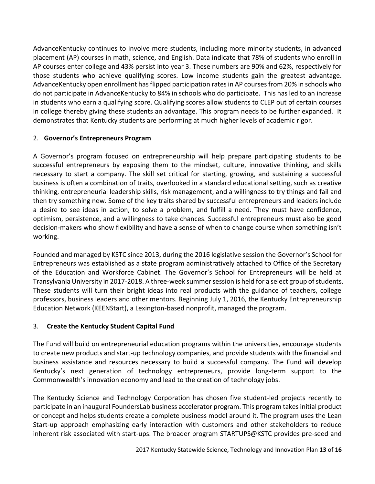AdvanceKentucky continues to involve more students, including more minority students, in advanced placement (AP) courses in math, science, and English. Data indicate that 78% of students who enroll in AP courses enter college and 43% persist into year 3. These numbers are 90% and 62%, respectively for those students who achieve qualifying scores. Low income students gain the greatest advantage. AdvanceKentucky open enrollment has flipped participation rates in AP courses from 20% in schools who do not participate in AdvanceKentucky to 84% in schools who do participate. This has led to an increase in students who earn a qualifying score. Qualifying scores allow students to CLEP out of certain courses in college thereby giving these students an advantage. This program needs to be further expanded. It demonstrates that Kentucky students are performing at much higher levels of academic rigor.

#### 2. **Governor's Entrepreneurs Program**

A Governor's program focused on entrepreneurship will help prepare participating students to be successful entrepreneurs by exposing them to the mindset, culture, innovative thinking, and skills necessary to start a company. The skill set critical for starting, growing, and sustaining a successful business is often a combination of traits, overlooked in a standard educational setting, such as creative thinking, entrepreneurial leadership skills, risk management, and a willingness to try things and fail and then try something new. Some of the key traits shared by successful entrepreneurs and leaders include a desire to see ideas in action, to solve a problem, and fulfill a need. They must have confidence, optimism, persistence, and a willingness to take chances. Successful entrepreneurs must also be good decision-makers who show flexibility and have a sense of when to change course when something isn't working.

Founded and managed by KSTC since 2013, during the 2016 legislative session the Governor's School for Entrepreneurs was established as a state program administratively attached to Office of the Secretary of the Education and Workforce Cabinet. The Governor's School for Entrepreneurs will be held at Transylvania University in 2017-2018. A three-week summer session is held for a select group of students. These students will turn their bright ideas into real products with the guidance of teachers, college professors, business leaders and other mentors. Beginning July 1, 2016, the Kentucky Entrepreneurship Education Network (KEENStart), a Lexington-based nonprofit, managed the program.

## 3. **Create the Kentucky Student Capital Fund**

The Fund will build on entrepreneurial education programs within the universities, encourage students to create new products and start-up technology companies, and provide students with the financial and business assistance and resources necessary to build a successful company. The Fund will develop Kentucky's next generation of technology entrepreneurs, provide long-term support to the Commonwealth's innovation economy and lead to the creation of technology jobs.

The Kentucky Science and Technology Corporation has chosen five student-led projects recently to participate in an inaugural FoundersLab business accelerator program. This program takes initial product or concept and helps students create a complete business model around it. The program uses the Lean Start-up approach emphasizing early interaction with customers and other stakeholders to reduce inherent risk associated with start-ups. The broader program STARTUPS@KSTC provides pre-seed and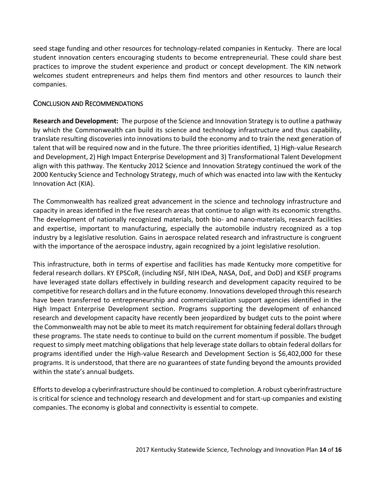seed stage funding and other resources for technology-related companies in Kentucky. There are local student innovation centers encouraging students to become entrepreneurial. These could share best practices to improve the student experience and product or concept development. The KIN network welcomes student entrepreneurs and helps them find mentors and other resources to launch their companies.

#### CONCLUSION AND RECOMMENDATIONS

**Research and Development:** The purpose of the Science and Innovation Strategy is to outline a pathway by which the Commonwealth can build its science and technology infrastructure and thus capability, translate resulting discoveries into innovations to build the economy and to train the next generation of talent that will be required now and in the future. The three priorities identified, 1) High-value Research and Development, 2) High Impact Enterprise Development and 3) Transformational Talent Development align with this pathway. The Kentucky 2012 Science and Innovation Strategy continued the work of the 2000 Kentucky Science and Technology Strategy, much of which was enacted into law with the Kentucky Innovation Act (KIA).

The Commonwealth has realized great advancement in the science and technology infrastructure and capacity in areas identified in the five research areas that continue to align with its economic strengths. The development of nationally recognized materials, both bio- and nano-materials, research facilities and expertise, important to manufacturing, especially the automobile industry recognized as a top industry by a legislative resolution. Gains in aerospace related research and infrastructure is congruent with the importance of the aerospace industry, again recognized by a joint legislative resolution.

This infrastructure, both in terms of expertise and facilities has made Kentucky more competitive for federal research dollars. KY EPSCoR, (including NSF, NIH IDeA, NASA, DoE, and DoD) and KSEF programs have leveraged state dollars effectively in building research and development capacity required to be competitive for research dollars and in the future economy. Innovations developed through this research have been transferred to entrepreneurship and commercialization support agencies identified in the High Impact Enterprise Development section. Programs supporting the development of enhanced research and development capacity have recently been jeopardized by budget cuts to the point where the Commonwealth may not be able to meet its match requirement for obtaining federal dollars through these programs. The state needs to continue to build on the current momentum if possible. The budget request to simply meet matching obligations that help leverage state dollars to obtain federal dollars for programs identified under the High-value Research and Development Section is \$6,402,000 for these programs. It is understood, that there are no guarantees of state funding beyond the amounts provided within the state's annual budgets.

Efforts to develop a cyberinfrastructure should be continued to completion. A robust cyberinfrastructure is critical for science and technology research and development and for start-up companies and existing companies. The economy is global and connectivity is essential to compete.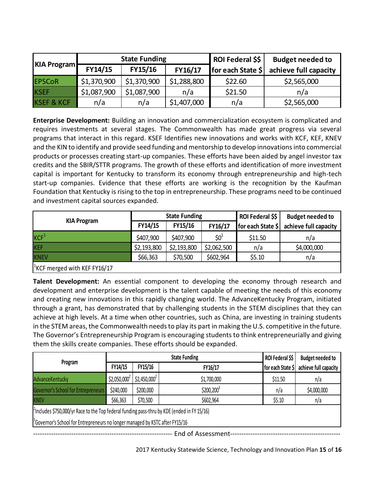|                       |                               | <b>State Funding</b> |                   | ROI Federal \$\$      | <b>Budget needed to</b> |  |
|-----------------------|-------------------------------|----------------------|-------------------|-----------------------|-------------------------|--|
| <b>KIA Program</b>    | FY14/15<br>FY15/16<br>FY16/17 |                      | for each State \$ | achieve full capacity |                         |  |
| <b>EPSCoR</b>         | \$1,370,900                   | \$1,370,900          | \$1,288,800       | \$22.60               | \$2,565,000             |  |
| <b>IKSEF</b>          | \$1,087,900                   | \$1,087,900          | n/a               | \$21.50               | n/a                     |  |
| <b>KSEF &amp; KCF</b> | n/a                           | n/a                  | \$1,407,000       | n/a                   | \$2,565,000             |  |

**Enterprise Development:** Building an innovation and commercialization ecosystem is complicated and requires investments at several stages. The Commonwealth has made great progress via several programs that interact in this regard. KSEF Identifies new innovations and works with KCF, KEF, KNEV and the KIN to identify and provide seed funding and mentorship to develop innovations into commercial products or processes creating start-up companies. These efforts have been aided by angel investor tax credits and the SBIR/STTR programs. The growth of these efforts and identification of more investment capital is important for Kentucky to transform its economy through entrepreneurship and high-tech start-up companies. Evidence that these efforts are working is the recognition by the Kaufman Foundation that Kentucky is rising to the top in entrepreneurship. These programs need to be continued and investment capital sources expanded.

|                                          |             | <b>State Funding</b> |             | ROI Federal \$\$             | <b>Budget needed to</b> |
|------------------------------------------|-------------|----------------------|-------------|------------------------------|-------------------------|
| <b>KIA Program</b>                       | FY14/15     | FY15/16              | FY16/17     | for each State $\frac{1}{2}$ | achieve full capacity   |
| KCF <sup>1</sup>                         | \$407,900   | \$407,900            | $$0^1$      | \$11.50                      | n/a                     |
| KEF                                      | \$2,193,800 | \$2,193,800          | \$2,062,500 | n/a                          | \$4,000,000             |
| <b>KNEV</b>                              | \$66,363    | \$70,500             | \$602,964   | \$5.10                       | n/a                     |
| <sup>1</sup> KCF merged with KEF FY16/17 |             |                      |             |                              |                         |

**Talent Development:** An essential component to developing the economy through research and development and enterprise development is the talent capable of meeting the needs of this economy and creating new innovations in this rapidly changing world. The AdvanceKentucky Program, initiated through a grant, has demonstrated that by challenging students in the STEM disciplines that they can achieve at high levels. At a time when other countries, such as China, are investing in training students in the STEM areas, the Commonwealth needs to play its part in making the U.S. competitive in the future. The Governor's Entrepreneurship Program is encouraging students to think entrepreneurially and giving them the skills create companies. These efforts should be expanded.

|                                                                                          |                                                                                             |                    | ROI Federal \$\$ | <b>Budget needed to</b> |                       |  |  |  |  |  |
|------------------------------------------------------------------------------------------|---------------------------------------------------------------------------------------------|--------------------|------------------|-------------------------|-----------------------|--|--|--|--|--|
| Program                                                                                  | FY14/15                                                                                     | FY15/16<br>FY16/17 |                  | for each State \$       | achieve full capacity |  |  |  |  |  |
| AdvanceKentucky                                                                          | $$2,050,000^2$                                                                              | $$2,450,000^2$     | \$1,700,000      | \$11.50                 | n/a                   |  |  |  |  |  |
| Governor's School for Entrepreneurs                                                      | \$240,000                                                                                   | \$200,000          | $$200,200^3$     | n/a                     | \$4,000,000           |  |  |  |  |  |
| <b>KNEV</b>                                                                              | \$66,363                                                                                    | \$70,500           | \$602,964        | \$5.10                  | n/a                   |  |  |  |  |  |
|                                                                                          | (includes \$750,000/yr Race to the Top federal funding pass-thru by KDE (ended in FY 15/16) |                    |                  |                         |                       |  |  |  |  |  |
| <sup>3</sup> Governor's School for Entrepreneurs no longer managed by KSTC after FY15/16 |                                                                                             |                    |                  |                         |                       |  |  |  |  |  |
| End of Assessment-                                                                       |                                                                                             |                    |                  |                         |                       |  |  |  |  |  |